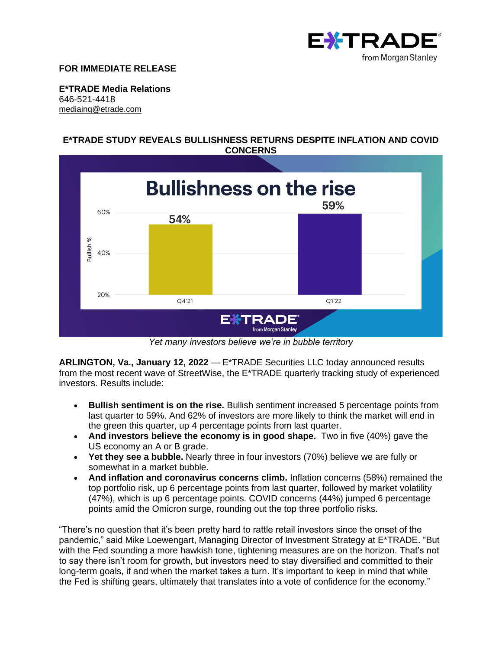

#### **FOR IMMEDIATE RELEASE**

**E\*TRADE Media Relations** 646-521-4418 [mediainq@etrade.com](mailto:mediainq@etrade.com)

## **E\*TRADE STUDY REVEALS BULLISHNESS RETURNS DESPITE INFLATION AND COVID CONCERNS**



*Yet many investors believe we're in bubble territory*

**ARLINGTON, Va., January 12, 2022** — E\*TRADE Securities LLC today announced results from the most recent wave of StreetWise, the E\*TRADE quarterly tracking study of experienced investors. Results include:

- **Bullish sentiment is on the rise.** Bullish sentiment increased 5 percentage points from last quarter to 59%. And 62% of investors are more likely to think the market will end in the green this quarter, up 4 percentage points from last quarter.
- **And investors believe the economy is in good shape.** Two in five (40%) gave the US economy an A or B grade.
- **Yet they see a bubble.** Nearly three in four investors (70%) believe we are fully or somewhat in a market bubble.
- **And inflation and coronavirus concerns climb.** Inflation concerns (58%) remained the top portfolio risk, up 6 percentage points from last quarter, followed by market volatility (47%), which is up 6 percentage points. COVID concerns (44%) jumped 6 percentage points amid the Omicron surge, rounding out the top three portfolio risks.

"There's no question that it's been pretty hard to rattle retail investors since the onset of the pandemic," said Mike Loewengart, Managing Director of Investment Strategy at E\*TRADE. "But with the Fed sounding a more hawkish tone, tightening measures are on the horizon. That's not to say there isn't room for growth, but investors need to stay diversified and committed to their long-term goals, if and when the market takes a turn. It's important to keep in mind that while the Fed is shifting gears, ultimately that translates into a vote of confidence for the economy."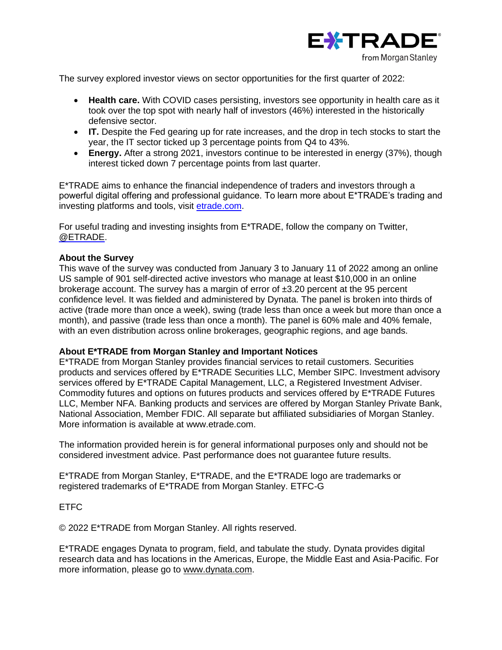

The survey explored investor views on sector opportunities for the first quarter of 2022:

- **Health care.** With COVID cases persisting, investors see opportunity in health care as it took over the top spot with nearly half of investors (46%) interested in the historically defensive sector.
- **IT.** Despite the Fed gearing up for rate increases, and the drop in tech stocks to start the year, the IT sector ticked up 3 percentage points from Q4 to 43%.
- **Energy.** After a strong 2021, investors continue to be interested in energy (37%), though interest ticked down 7 percentage points from last quarter.

E\*TRADE aims to enhance the financial independence of traders and investors through a powerful digital offering and professional guidance. To learn more about E\*TRADE's trading and investing platforms and tools, visit [etrade.com.](http://www.etrade.com/)

For useful trading and investing insights from E\*TRADE, follow the company on Twitter, [@ETRADE.](https://twitter.com/etrade)

#### **About the Survey**

This wave of the survey was conducted from January 3 to January 11 of 2022 among an online US sample of 901 self-directed active investors who manage at least \$10,000 in an online brokerage account. The survey has a margin of error of  $\pm 3.20$  percent at the 95 percent confidence level. It was fielded and administered by Dynata. The panel is broken into thirds of active (trade more than once a week), swing (trade less than once a week but more than once a month), and passive (trade less than once a month). The panel is 60% male and 40% female, with an even distribution across online brokerages, geographic regions, and age bands.

#### **About E\*TRADE from Morgan Stanley and Important Notices**

E\*TRADE from Morgan Stanley provides financial services to retail customers. Securities products and services offered by E\*TRADE Securities LLC, Member SIPC. Investment advisory services offered by E\*TRADE Capital Management, LLC, a Registered Investment Adviser. Commodity futures and options on futures products and services offered by E\*TRADE Futures LLC, Member NFA. Banking products and services are offered by Morgan Stanley Private Bank, National Association, Member FDIC. All separate but affiliated subsidiaries of Morgan Stanley. More information is available at www.etrade.com.

The information provided herein is for general informational purposes only and should not be considered investment advice. Past performance does not guarantee future results.

E\*TRADE from Morgan Stanley, E\*TRADE, and the E\*TRADE logo are trademarks or registered trademarks of E\*TRADE from Morgan Stanley. ETFC-G

ETFC

© 2022 E\*TRADE from Morgan Stanley. All rights reserved.

E\*TRADE engages Dynata to program, field, and tabulate the study. Dynata provides digital research data and has locations in the Americas, Europe, the Middle East and Asia-Pacific. For more information, please go to [www.dynata.com.](http://www.dynata.com/)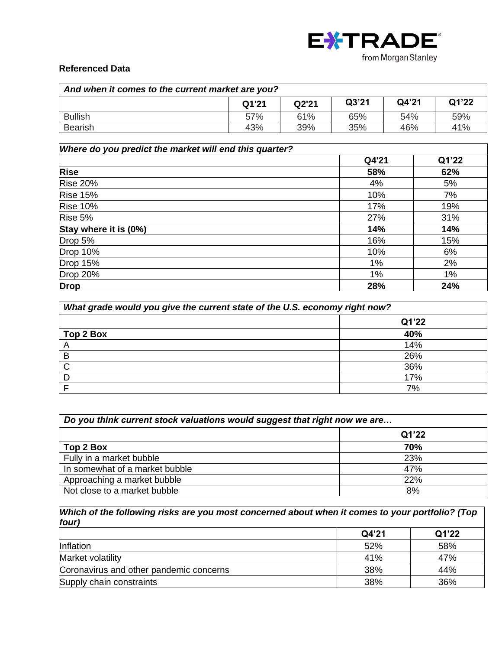

# **Referenced Data**

| And when it comes to the current market are you? |       |       |       |       |       |
|--------------------------------------------------|-------|-------|-------|-------|-------|
|                                                  | Q1'21 | Q2'21 | Q3'21 | Q4'21 | Q1'22 |
| <b>Bullish</b>                                   | 57%   | 61%   | 65%   | 54%   | 59%   |
| Bearish                                          | 43%   | 39%   | 35%   | 46%   | 41%   |

| Where do you predict the market will end this quarter? |       |       |  |
|--------------------------------------------------------|-------|-------|--|
|                                                        | Q4'21 | Q1'22 |  |
| <b>Rise</b>                                            | 58%   | 62%   |  |
| <b>Rise 20%</b>                                        | 4%    | 5%    |  |
| <b>Rise 15%</b>                                        | 10%   | 7%    |  |
| <b>Rise 10%</b>                                        | 17%   | 19%   |  |
| Rise 5%                                                | 27%   | 31%   |  |
| Stay where it is (0%)                                  | 14%   | 14%   |  |
| Drop 5%                                                | 16%   | 15%   |  |
| <b>Drop 10%</b>                                        | 10%   | 6%    |  |
| <b>Drop 15%</b>                                        | 1%    | 2%    |  |
| <b>Drop 20%</b>                                        | 1%    | 1%    |  |
| <b>Drop</b>                                            | 28%   | 24%   |  |

| What grade would you give the current state of the U.S. economy right now? |       |  |
|----------------------------------------------------------------------------|-------|--|
|                                                                            | Q1'22 |  |
| Top 2 Box                                                                  | 40%   |  |
| $\overline{\mathsf{A}}$                                                    | 14%   |  |
| B                                                                          | 26%   |  |
| C                                                                          | 36%   |  |
|                                                                            | 17%   |  |
|                                                                            | 7%    |  |

| Do you think current stock valuations would suggest that right now we are |       |  |
|---------------------------------------------------------------------------|-------|--|
|                                                                           | Q1'22 |  |
| Top 2 Box                                                                 | 70%   |  |
| Fully in a market bubble                                                  | 23%   |  |
| In somewhat of a market bubble                                            | 47%   |  |
| Approaching a market bubble                                               | 22%   |  |
| Not close to a market bubble                                              | 8%    |  |

## *Which of the following risks are you most concerned about when it comes to your portfolio? (Top four)*

|                                         | Q4'21 | Q1'22 |
|-----------------------------------------|-------|-------|
| Inflation                               | 52%   | 58%   |
| Market volatility                       | 41%   | 47%   |
| Coronavirus and other pandemic concerns | 38%   | 44%   |
| Supply chain constraints                | 38%   | 36%   |